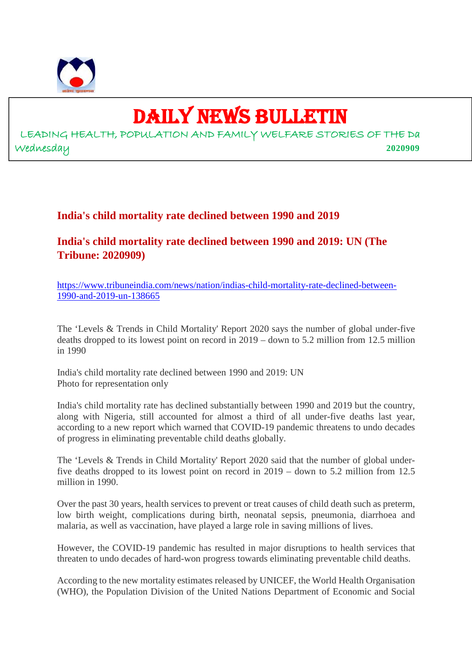

# DAILY NEWS BULLETIN

LEADING HEALTH, POPULATION AND FAMILY WELFARE STORIES OF THE Da Wednesday **2020909**

# **India's child mortality rate declined between 1990 and 2019**

# **India's child mortality rate declined between 1990 and 2019: UN (The Tribune: 2020909)**

https://www.tribuneindia.com/news/nation/indias-child-mortality-rate-declined-between-1990-and-2019-un-138665

The 'Levels & Trends in Child Mortality' Report 2020 says the number of global under-five deaths dropped to its lowest point on record in 2019 – down to 5.2 million from 12.5 million in 1990

India's child mortality rate declined between 1990 and 2019: UN Photo for representation only

India's child mortality rate has declined substantially between 1990 and 2019 but the country, along with Nigeria, still accounted for almost a third of all under-five deaths last year, according to a new report which warned that COVID-19 pandemic threatens to undo decades of progress in eliminating preventable child deaths globally.

The 'Levels & Trends in Child Mortality' Report 2020 said that the number of global underfive deaths dropped to its lowest point on record in 2019 – down to 5.2 million from 12.5 million in 1990.

Over the past 30 years, health services to prevent or treat causes of child death such as preterm, low birth weight, complications during birth, neonatal sepsis, pneumonia, diarrhoea and malaria, as well as vaccination, have played a large role in saving millions of lives.

However, the COVID-19 pandemic has resulted in major disruptions to health services that threaten to undo decades of hard-won progress towards eliminating preventable child deaths.

According to the new mortality estimates released by UNICEF, the World Health Organisation (WHO), the Population Division of the United Nations Department of Economic and Social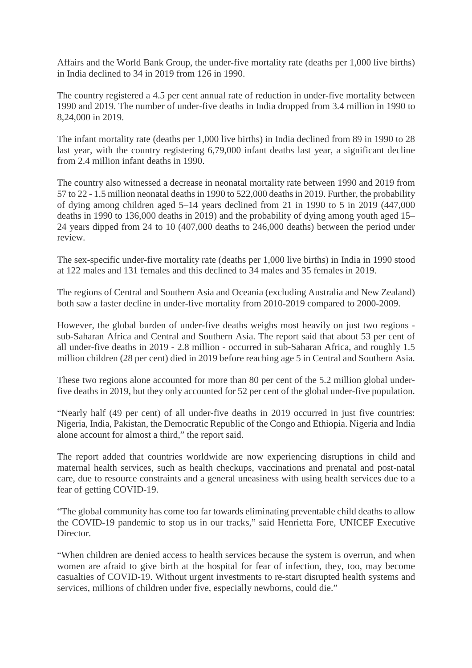Affairs and the World Bank Group, the under-five mortality rate (deaths per 1,000 live births) in India declined to 34 in 2019 from 126 in 1990.

The country registered a 4.5 per cent annual rate of reduction in under-five mortality between 1990 and 2019. The number of under-five deaths in India dropped from 3.4 million in 1990 to 8,24,000 in 2019.

The infant mortality rate (deaths per 1,000 live births) in India declined from 89 in 1990 to 28 last year, with the country registering 6,79,000 infant deaths last year, a significant decline from 2.4 million infant deaths in 1990.

The country also witnessed a decrease in neonatal mortality rate between 1990 and 2019 from 57 to 22 - 1.5 million neonatal deaths in 1990 to 522,000 deaths in 2019. Further, the probability of dying among children aged 5–14 years declined from 21 in 1990 to 5 in 2019 (447,000 deaths in 1990 to 136,000 deaths in 2019) and the probability of dying among youth aged 15– 24 years dipped from 24 to 10 (407,000 deaths to 246,000 deaths) between the period under review.

The sex-specific under-five mortality rate (deaths per 1,000 live births) in India in 1990 stood at 122 males and 131 females and this declined to 34 males and 35 females in 2019.

The regions of Central and Southern Asia and Oceania (excluding Australia and New Zealand) both saw a faster decline in under-five mortality from 2010-2019 compared to 2000-2009.

However, the global burden of under-five deaths weighs most heavily on just two regions sub-Saharan Africa and Central and Southern Asia. The report said that about 53 per cent of all under-five deaths in 2019 - 2.8 million - occurred in sub-Saharan Africa, and roughly 1.5 million children (28 per cent) died in 2019 before reaching age 5 in Central and Southern Asia.

These two regions alone accounted for more than 80 per cent of the 5.2 million global underfive deaths in 2019, but they only accounted for 52 per cent of the global under-five population.

"Nearly half (49 per cent) of all under-five deaths in 2019 occurred in just five countries: Nigeria, India, Pakistan, the Democratic Republic of the Congo and Ethiopia. Nigeria and India alone account for almost a third," the report said.

The report added that countries worldwide are now experiencing disruptions in child and maternal health services, such as health checkups, vaccinations and prenatal and post-natal care, due to resource constraints and a general uneasiness with using health services due to a fear of getting COVID-19.

"The global community has come too far towards eliminating preventable child deaths to allow the COVID-19 pandemic to stop us in our tracks," said Henrietta Fore, UNICEF Executive Director.

"When children are denied access to health services because the system is overrun, and when women are afraid to give birth at the hospital for fear of infection, they, too, may become casualties of COVID-19. Without urgent investments to re-start disrupted health systems and services, millions of children under five, especially newborns, could die."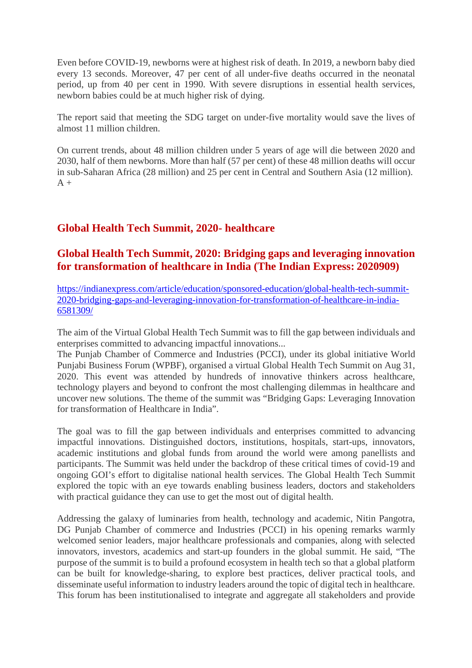Even before COVID-19, newborns were at highest risk of death. In 2019, a newborn baby died every 13 seconds. Moreover, 47 per cent of all under-five deaths occurred in the neonatal period, up from 40 per cent in 1990. With severe disruptions in essential health services, newborn babies could be at much higher risk of dying.

The report said that meeting the SDG target on under-five mortality would save the lives of almost 11 million children.

On current trends, about 48 million children under 5 years of age will die between 2020 and 2030, half of them newborns. More than half (57 per cent) of these 48 million deaths will occur in sub-Saharan Africa (28 million) and 25 per cent in Central and Southern Asia (12 million).  $A +$ 

# **Global Health Tech Summit, 2020- healthcare**

# **Global Health Tech Summit, 2020: Bridging gaps and leveraging innovation for transformation of healthcare in India (The Indian Express: 2020909)**

https://indianexpress.com/article/education/sponsored-education/global-health-tech-summit-2020-bridging-gaps-and-leveraging-innovation-for-transformation-of-healthcare-in-india-6581309/

The aim of the Virtual Global Health Tech Summit was to fill the gap between individuals and enterprises committed to advancing impactful innovations...

The Punjab Chamber of Commerce and Industries (PCCI), under its global initiative World Punjabi Business Forum (WPBF), organised a virtual Global Health Tech Summit on Aug 31, 2020. This event was attended by hundreds of innovative thinkers across healthcare, technology players and beyond to confront the most challenging dilemmas in healthcare and uncover new solutions. The theme of the summit was "Bridging Gaps: Leveraging Innovation for transformation of Healthcare in India".

The goal was to fill the gap between individuals and enterprises committed to advancing impactful innovations. Distinguished doctors, institutions, hospitals, start-ups, innovators, academic institutions and global funds from around the world were among panellists and participants. The Summit was held under the backdrop of these critical times of covid-19 and ongoing GOI's effort to digitalise national health services. The Global Health Tech Summit explored the topic with an eye towards enabling business leaders, doctors and stakeholders with practical guidance they can use to get the most out of digital health.

Addressing the galaxy of luminaries from health, technology and academic, Nitin Pangotra, DG Punjab Chamber of commerce and Industries (PCCI) in his opening remarks warmly welcomed senior leaders, major healthcare professionals and companies, along with selected innovators, investors, academics and start-up founders in the global summit. He said, "The purpose of the summit is to build a profound ecosystem in health tech so that a global platform can be built for knowledge-sharing, to explore best practices, deliver practical tools, and disseminate useful information to industry leaders around the topic of digital tech in healthcare. This forum has been institutionalised to integrate and aggregate all stakeholders and provide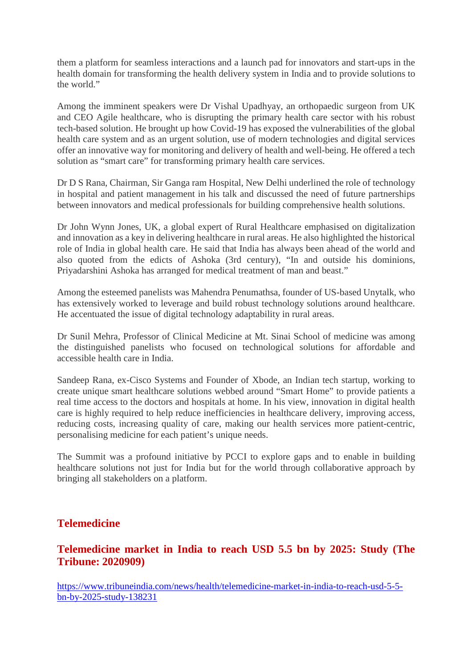them a platform for seamless interactions and a launch pad for innovators and start-ups in the health domain for transforming the health delivery system in India and to provide solutions to the world."

Among the imminent speakers were Dr Vishal Upadhyay, an orthopaedic surgeon from UK and CEO Agile healthcare, who is disrupting the primary health care sector with his robust tech-based solution. He brought up how Covid-19 has exposed the vulnerabilities of the global health care system and as an urgent solution, use of modern technologies and digital services offer an innovative way for monitoring and delivery of health and well-being. He offered a tech solution as "smart care" for transforming primary health care services.

Dr D S Rana, Chairman, Sir Ganga ram Hospital, New Delhi underlined the role of technology in hospital and patient management in his talk and discussed the need of future partnerships between innovators and medical professionals for building comprehensive health solutions.

Dr John Wynn Jones, UK, a global expert of Rural Healthcare emphasised on digitalization and innovation as a key in delivering healthcare in rural areas. He also highlighted the historical role of India in global health care. He said that India has always been ahead of the world and also quoted from the edicts of Ashoka (3rd century), "In and outside his dominions, Priyadarshini Ashoka has arranged for medical treatment of man and beast."

Among the esteemed panelists was Mahendra Penumathsa, founder of US-based Unytalk, who has extensively worked to leverage and build robust technology solutions around healthcare. He accentuated the issue of digital technology adaptability in rural areas.

Dr Sunil Mehra, Professor of Clinical Medicine at Mt. Sinai School of medicine was among the distinguished panelists who focused on technological solutions for affordable and accessible health care in India.

Sandeep Rana, ex-Cisco Systems and Founder of Xbode, an Indian tech startup, working to create unique smart healthcare solutions webbed around "Smart Home" to provide patients a real time access to the doctors and hospitals at home. In his view, innovation in digital health care is highly required to help reduce inefficiencies in healthcare delivery, improving access, reducing costs, increasing quality of care, making our health services more patient-centric, personalising medicine for each patient's unique needs.

The Summit was a profound initiative by PCCI to explore gaps and to enable in building healthcare solutions not just for India but for the world through collaborative approach by bringing all stakeholders on a platform.

# **Telemedicine**

# **Telemedicine market in India to reach USD 5.5 bn by 2025: Study (The Tribune: 2020909)**

https://www.tribuneindia.com/news/health/telemedicine-market-in-india-to-reach-usd-5-5 bn-by-2025-study-138231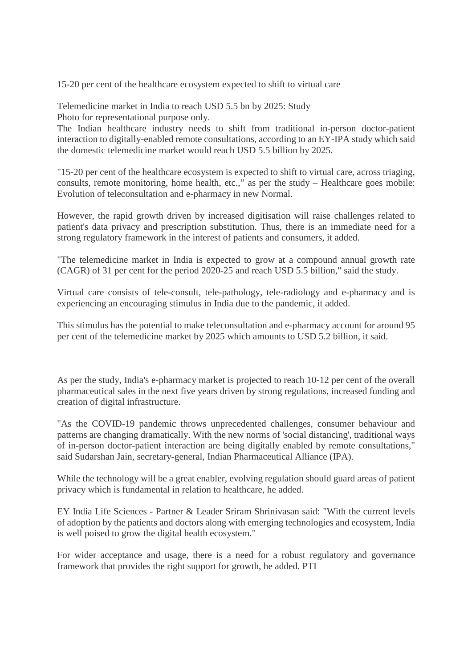15-20 per cent of the healthcare ecosystem expected to shift to virtual care

Telemedicine market in India to reach USD 5.5 bn by 2025: Study Photo for representational purpose only.

The Indian healthcare industry needs to shift from traditional in-person doctor-patient interaction to digitally-enabled remote consultations, according to an EY-IPA study which said the domestic telemedicine market would reach USD 5.5 billion by 2025.

"15-20 per cent of the healthcare ecosystem is expected to shift to virtual care, across triaging, consults, remote monitoring, home health, etc.," as per the study – Healthcare goes mobile: Evolution of teleconsultation and e-pharmacy in new Normal.

However, the rapid growth driven by increased digitisation will raise challenges related to patient's data privacy and prescription substitution. Thus, there is an immediate need for a strong regulatory framework in the interest of patients and consumers, it added.

"The telemedicine market in India is expected to grow at a compound annual growth rate (CAGR) of 31 per cent for the period 2020-25 and reach USD 5.5 billion," said the study.

Virtual care consists of tele-consult, tele-pathology, tele-radiology and e-pharmacy and is experiencing an encouraging stimulus in India due to the pandemic, it added.

This stimulus has the potential to make teleconsultation and e-pharmacy account for around 95 per cent of the telemedicine market by 2025 which amounts to USD 5.2 billion, it said.

As per the study, India's e-pharmacy market is projected to reach 10-12 per cent of the overall pharmaceutical sales in the next five years driven by strong regulations, increased funding and creation of digital infrastructure.

"As the COVID-19 pandemic throws unprecedented challenges, consumer behaviour and patterns are changing dramatically. With the new norms of 'social distancing', traditional ways of in-person doctor-patient interaction are being digitally enabled by remote consultations," said Sudarshan Jain, secretary-general, Indian Pharmaceutical Alliance (IPA).

While the technology will be a great enabler, evolving regulation should guard areas of patient privacy which is fundamental in relation to healthcare, he added.

EY India Life Sciences - Partner & Leader Sriram Shrinivasan said: "With the current levels of adoption by the patients and doctors along with emerging technologies and ecosystem, India is well poised to grow the digital health ecosystem."

For wider acceptance and usage, there is a need for a robust regulatory and governance framework that provides the right support for growth, he added. PTI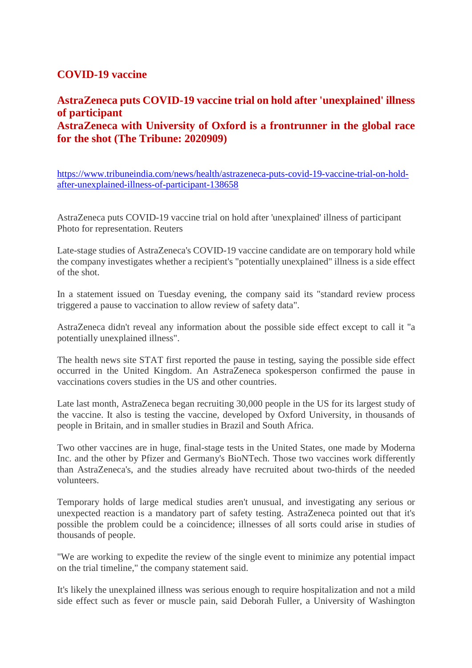# **COVID-19 vaccine**

# **AstraZeneca puts COVID-19 vaccine trial on hold after 'unexplained' illness of participant AstraZeneca with University of Oxford is a frontrunner in the global race for the shot (The Tribune: 2020909)**

https://www.tribuneindia.com/news/health/astrazeneca-puts-covid-19-vaccine-trial-on-holdafter-unexplained-illness-of-participant-138658

AstraZeneca puts COVID-19 vaccine trial on hold after 'unexplained' illness of participant Photo for representation. Reuters

Late-stage studies of AstraZeneca's COVID-19 vaccine candidate are on temporary hold while the company investigates whether a recipient's "potentially unexplained" illness is a side effect of the shot.

In a statement issued on Tuesday evening, the company said its "standard review process triggered a pause to vaccination to allow review of safety data".

AstraZeneca didn't reveal any information about the possible side effect except to call it "a potentially unexplained illness".

The health news site STAT first reported the pause in testing, saying the possible side effect occurred in the United Kingdom. An AstraZeneca spokesperson confirmed the pause in vaccinations covers studies in the US and other countries.

Late last month, AstraZeneca began recruiting 30,000 people in the US for its largest study of the vaccine. It also is testing the vaccine, developed by Oxford University, in thousands of people in Britain, and in smaller studies in Brazil and South Africa.

Two other vaccines are in huge, final-stage tests in the United States, one made by Moderna Inc. and the other by Pfizer and Germany's BioNTech. Those two vaccines work differently than AstraZeneca's, and the studies already have recruited about two-thirds of the needed volunteers.

Temporary holds of large medical studies aren't unusual, and investigating any serious or unexpected reaction is a mandatory part of safety testing. AstraZeneca pointed out that it's possible the problem could be a coincidence; illnesses of all sorts could arise in studies of thousands of people.

"We are working to expedite the review of the single event to minimize any potential impact on the trial timeline," the company statement said.

It's likely the unexplained illness was serious enough to require hospitalization and not a mild side effect such as fever or muscle pain, said Deborah Fuller, a University of Washington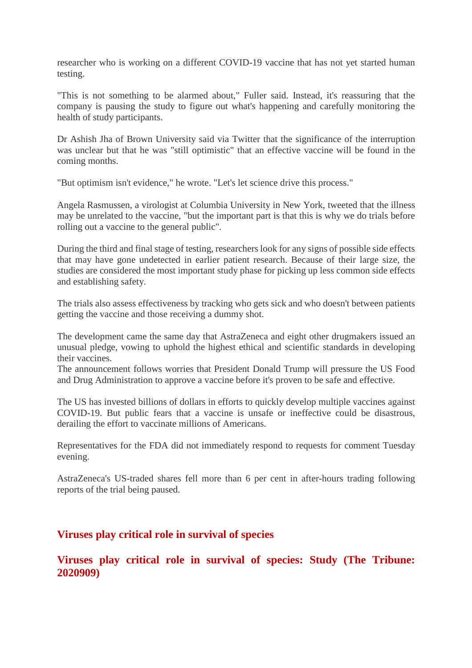researcher who is working on a different COVID-19 vaccine that has not yet started human testing.

"This is not something to be alarmed about," Fuller said. Instead, it's reassuring that the company is pausing the study to figure out what's happening and carefully monitoring the health of study participants.

Dr Ashish Jha of Brown University said via Twitter that the significance of the interruption was unclear but that he was "still optimistic" that an effective vaccine will be found in the coming months.

"But optimism isn't evidence," he wrote. "Let's let science drive this process."

Angela Rasmussen, a virologist at Columbia University in New York, tweeted that the illness may be unrelated to the vaccine, "but the important part is that this is why we do trials before rolling out a vaccine to the general public".

During the third and final stage of testing, researchers look for any signs of possible side effects that may have gone undetected in earlier patient research. Because of their large size, the studies are considered the most important study phase for picking up less common side effects and establishing safety.

The trials also assess effectiveness by tracking who gets sick and who doesn't between patients getting the vaccine and those receiving a dummy shot.

The development came the same day that AstraZeneca and eight other drugmakers issued an unusual pledge, vowing to uphold the highest ethical and scientific standards in developing their vaccines.

The announcement follows worries that President Donald Trump will pressure the US Food and Drug Administration to approve a vaccine before it's proven to be safe and effective.

The US has invested billions of dollars in efforts to quickly develop multiple vaccines against COVID-19. But public fears that a vaccine is unsafe or ineffective could be disastrous, derailing the effort to vaccinate millions of Americans.

Representatives for the FDA did not immediately respond to requests for comment Tuesday evening.

AstraZeneca's US-traded shares fell more than 6 per cent in after-hours trading following reports of the trial being paused.

# **Viruses play critical role in survival of species**

# **Viruses play critical role in survival of species: Study (The Tribune: 2020909)**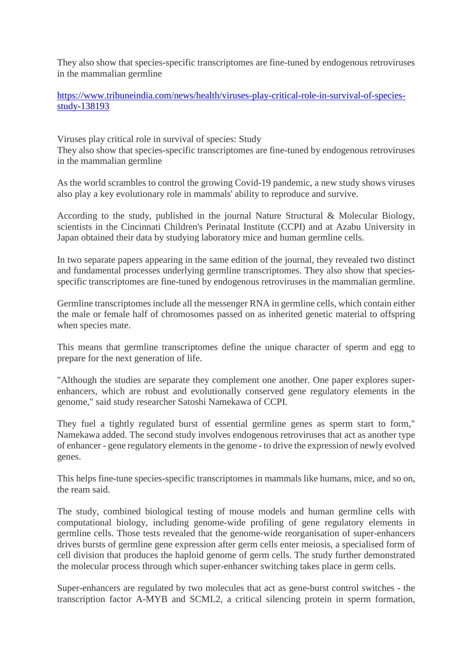They also show that species-specific transcriptomes are fine-tuned by endogenous retroviruses in the mammalian germline

https://www.tribuneindia.com/news/health/viruses-play-critical-role-in-survival-of-speciesstudy-138193

Viruses play critical role in survival of species: Study They also show that species-specific transcriptomes are fine-tuned by endogenous retroviruses in the mammalian germline

As the world scrambles to control the growing Covid-19 pandemic, a new study shows viruses also play a key evolutionary role in mammals' ability to reproduce and survive.

According to the study, published in the journal Nature Structural & Molecular Biology, scientists in the Cincinnati Children's Perinatal Institute (CCPI) and at Azabu University in Japan obtained their data by studying laboratory mice and human germline cells.

In two separate papers appearing in the same edition of the journal, they revealed two distinct and fundamental processes underlying germline transcriptomes. They also show that speciesspecific transcriptomes are fine-tuned by endogenous retroviruses in the mammalian germline.

Germline transcriptomes include all the messenger RNA in germline cells, which contain either the male or female half of chromosomes passed on as inherited genetic material to offspring when species mate.

This means that germline transcriptomes define the unique character of sperm and egg to prepare for the next generation of life.

"Although the studies are separate they complement one another. One paper explores superenhancers, which are robust and evolutionally conserved gene regulatory elements in the genome," said study researcher Satoshi Namekawa of CCPI.

They fuel a tightly regulated burst of essential germline genes as sperm start to form," Namekawa added. The second study involves endogenous retroviruses that act as another type of enhancer - gene regulatory elements in the genome - to drive the expression of newly evolved genes.

This helps fine-tune species-specific transcriptomes in mammals like humans, mice, and so on, the ream said.

The study, combined biological testing of mouse models and human germline cells with computational biology, including genome-wide profiling of gene regulatory elements in germline cells. Those tests revealed that the genome-wide reorganisation of super-enhancers drives bursts of germline gene expression after germ cells enter meiosis, a specialised form of cell division that produces the haploid genome of germ cells. The study further demonstrated the molecular process through which super-enhancer switching takes place in germ cells.

Super-enhancers are regulated by two molecules that act as gene-burst control switches - the transcription factor A-MYB and SCML2, a critical silencing protein in sperm formation,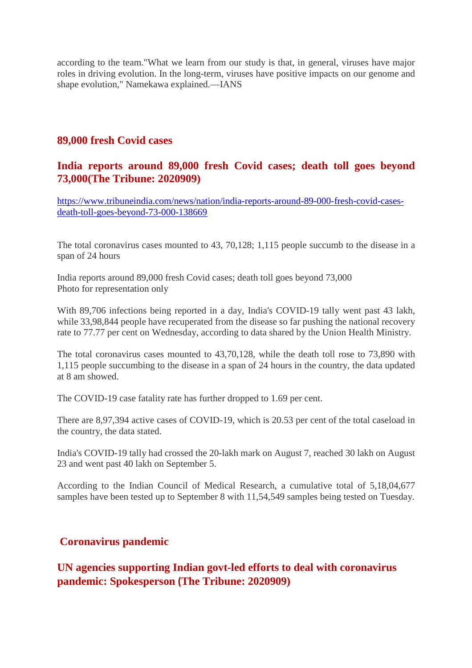according to the team."What we learn from our study is that, in general, viruses have major roles in driving evolution. In the long-term, viruses have positive impacts on our genome and shape evolution," Namekawa explained.—IANS

# **89,000 fresh Covid cases**

# **India reports around 89,000 fresh Covid cases; death toll goes beyond 73,000(The Tribune: 2020909)**

https://www.tribuneindia.com/news/nation/india-reports-around-89-000-fresh-covid-casesdeath-toll-goes-beyond-73-000-138669

The total coronavirus cases mounted to 43, 70,128; 1,115 people succumb to the disease in a span of 24 hours

India reports around 89,000 fresh Covid cases; death toll goes beyond 73,000 Photo for representation only

With 89,706 infections being reported in a day, India's COVID-19 tally went past 43 lakh, while 33,98,844 people have recuperated from the disease so far pushing the national recovery rate to 77.77 per cent on Wednesday, according to data shared by the Union Health Ministry.

The total coronavirus cases mounted to 43,70,128, while the death toll rose to 73,890 with 1,115 people succumbing to the disease in a span of 24 hours in the country, the data updated at 8 am showed.

The COVID-19 case fatality rate has further dropped to 1.69 per cent.

There are 8,97,394 active cases of COVID-19, which is 20.53 per cent of the total caseload in the country, the data stated.

India's COVID-19 tally had crossed the 20-lakh mark on August 7, reached 30 lakh on August 23 and went past 40 lakh on September 5.

According to the Indian Council of Medical Research, a cumulative total of 5,18,04,677 samples have been tested up to September 8 with 11,54,549 samples being tested on Tuesday.

# **Coronavirus pandemic**

**UN agencies supporting Indian govt-led efforts to deal with coronavirus pandemic: Spokesperson (The Tribune: 2020909)**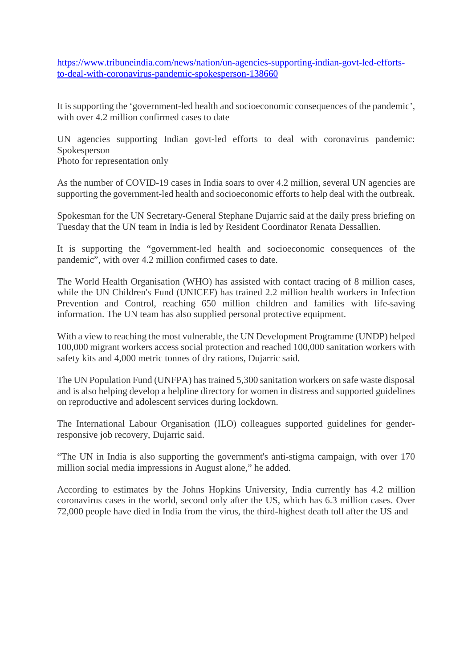https://www.tribuneindia.com/news/nation/un-agencies-supporting-indian-govt-led-effortsto-deal-with-coronavirus-pandemic-spokesperson-138660

It is supporting the 'government-led health and socioeconomic consequences of the pandemic', with over 4.2 million confirmed cases to date

UN agencies supporting Indian govt-led efforts to deal with coronavirus pandemic: Spokesperson

Photo for representation only

As the number of COVID-19 cases in India soars to over 4.2 million, several UN agencies are supporting the government-led health and socioeconomic efforts to help deal with the outbreak.

Spokesman for the UN Secretary-General Stephane Dujarric said at the daily press briefing on Tuesday that the UN team in India is led by Resident Coordinator Renata Dessallien.

It is supporting the "government-led health and socioeconomic consequences of the pandemic", with over 4.2 million confirmed cases to date.

The World Health Organisation (WHO) has assisted with contact tracing of 8 million cases, while the UN Children's Fund (UNICEF) has trained 2.2 million health workers in Infection Prevention and Control, reaching 650 million children and families with life-saving information. The UN team has also supplied personal protective equipment.

With a view to reaching the most vulnerable, the UN Development Programme (UNDP) helped 100,000 migrant workers access social protection and reached 100,000 sanitation workers with safety kits and 4,000 metric tonnes of dry rations, Dujarric said.

The UN Population Fund (UNFPA) has trained 5,300 sanitation workers on safe waste disposal and is also helping develop a helpline directory for women in distress and supported guidelines on reproductive and adolescent services during lockdown.

The International Labour Organisation (ILO) colleagues supported guidelines for genderresponsive job recovery, Dujarric said.

"The UN in India is also supporting the government's anti-stigma campaign, with over 170 million social media impressions in August alone," he added.

According to estimates by the Johns Hopkins University, India currently has 4.2 million coronavirus cases in the world, second only after the US, which has 6.3 million cases. Over 72,000 people have died in India from the virus, the third-highest death toll after the US and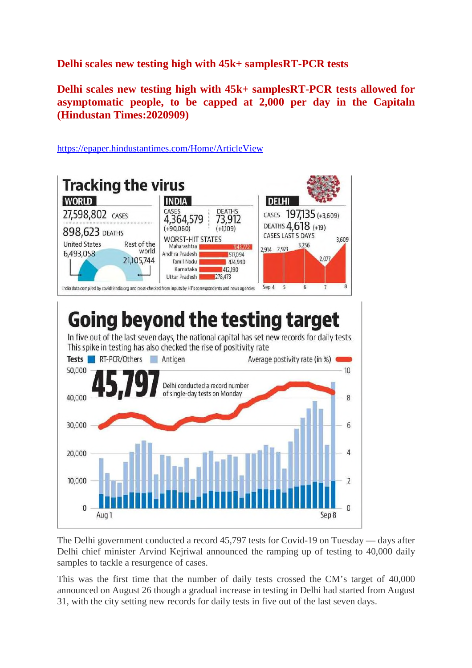# **Delhi scales new testing high with 45k+ samplesRT-PCR tests**

**Delhi scales new testing high with 45k+ samplesRT-PCR tests allowed for asymptomatic people, to be capped at 2,000 per day in the Capitaln (Hindustan Times:2020909)**



https://epaper.hindustantimes.com/Home/ArticleView

The Delhi government conducted a record 45,797 tests for Covid-19 on Tuesday — days after Delhi chief minister Arvind Keiriwal announced the ramping up of testing to 40,000 daily samples to tackle a resurgence of cases.

This was the first time that the number of daily tests crossed the CM's target of 40,000 announced on August 26 though a gradual increase in testing in Delhi had started from August 31, with the city setting new records for daily tests in five out of the last seven days.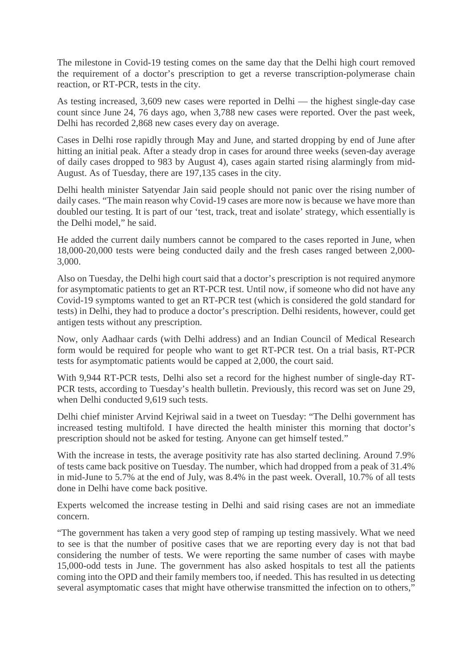The milestone in Covid-19 testing comes on the same day that the Delhi high court removed the requirement of a doctor's prescription to get a reverse transcription-polymerase chain reaction, or RT-PCR, tests in the city.

As testing increased, 3,609 new cases were reported in Delhi — the highest single-day case count since June 24, 76 days ago, when 3,788 new cases were reported. Over the past week, Delhi has recorded 2,868 new cases every day on average.

Cases in Delhi rose rapidly through May and June, and started dropping by end of June after hitting an initial peak. After a steady drop in cases for around three weeks (seven-day average of daily cases dropped to 983 by August 4), cases again started rising alarmingly from mid-August. As of Tuesday, there are 197,135 cases in the city.

Delhi health minister Satyendar Jain said people should not panic over the rising number of daily cases. "The main reason why Covid-19 cases are more now is because we have more than doubled our testing. It is part of our 'test, track, treat and isolate' strategy, which essentially is the Delhi model," he said.

He added the current daily numbers cannot be compared to the cases reported in June, when 18,000-20,000 tests were being conducted daily and the fresh cases ranged between 2,000- 3,000.

Also on Tuesday, the Delhi high court said that a doctor's prescription is not required anymore for asymptomatic patients to get an RT-PCR test. Until now, if someone who did not have any Covid-19 symptoms wanted to get an RT-PCR test (which is considered the gold standard for tests) in Delhi, they had to produce a doctor's prescription. Delhi residents, however, could get antigen tests without any prescription.

Now, only Aadhaar cards (with Delhi address) and an Indian Council of Medical Research form would be required for people who want to get RT-PCR test. On a trial basis, RT-PCR tests for asymptomatic patients would be capped at 2,000, the court said.

With 9,944 RT-PCR tests, Delhi also set a record for the highest number of single-day RT-PCR tests, according to Tuesday's health bulletin. Previously, this record was set on June 29, when Delhi conducted 9.619 such tests.

Delhi chief minister Arvind Kejriwal said in a tweet on Tuesday: "The Delhi government has increased testing multifold. I have directed the health minister this morning that doctor's prescription should not be asked for testing. Anyone can get himself tested."

With the increase in tests, the average positivity rate has also started declining. Around 7.9% of tests came back positive on Tuesday. The number, which had dropped from a peak of 31.4% in mid-June to 5.7% at the end of July, was 8.4% in the past week. Overall, 10.7% of all tests done in Delhi have come back positive.

Experts welcomed the increase testing in Delhi and said rising cases are not an immediate concern.

"The government has taken a very good step of ramping up testing massively. What we need to see is that the number of positive cases that we are reporting every day is not that bad considering the number of tests. We were reporting the same number of cases with maybe 15,000-odd tests in June. The government has also asked hospitals to test all the patients coming into the OPD and their family members too, if needed. This has resulted in us detecting several asymptomatic cases that might have otherwise transmitted the infection on to others,"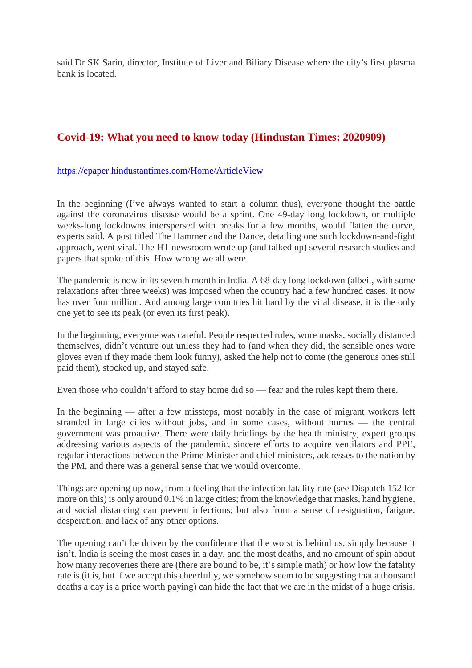said Dr SK Sarin, director, Institute of Liver and Biliary Disease where the city's first plasma bank is located.

# **Covid-19: What you need to know today (Hindustan Times: 2020909)**

https://epaper.hindustantimes.com/Home/ArticleView

In the beginning (I've always wanted to start a column thus), everyone thought the battle against the coronavirus disease would be a sprint. One 49-day long lockdown, or multiple weeks-long lockdowns interspersed with breaks for a few months, would flatten the curve, experts said. A post titled The Hammer and the Dance, detailing one such lockdown-and-fight approach, went viral. The HT newsroom wrote up (and talked up) several research studies and papers that spoke of this. How wrong we all were.

The pandemic is now in its seventh month in India. A 68-day long lockdown (albeit, with some relaxations after three weeks) was imposed when the country had a few hundred cases. It now has over four million. And among large countries hit hard by the viral disease, it is the only one yet to see its peak (or even its first peak).

In the beginning, everyone was careful. People respected rules, wore masks, socially distanced themselves, didn't venture out unless they had to (and when they did, the sensible ones wore gloves even if they made them look funny), asked the help not to come (the generous ones still paid them), stocked up, and stayed safe.

Even those who couldn't afford to stay home did so — fear and the rules kept them there.

In the beginning — after a few missteps, most notably in the case of migrant workers left stranded in large cities without jobs, and in some cases, without homes — the central government was proactive. There were daily briefings by the health ministry, expert groups addressing various aspects of the pandemic, sincere efforts to acquire ventilators and PPE, regular interactions between the Prime Minister and chief ministers, addresses to the nation by the PM, and there was a general sense that we would overcome.

Things are opening up now, from a feeling that the infection fatality rate (see Dispatch 152 for more on this) is only around 0.1% in large cities; from the knowledge that masks, hand hygiene, and social distancing can prevent infections; but also from a sense of resignation, fatigue, desperation, and lack of any other options.

The opening can't be driven by the confidence that the worst is behind us, simply because it isn't. India is seeing the most cases in a day, and the most deaths, and no amount of spin about how many recoveries there are (there are bound to be, it's simple math) or how low the fatality rate is (it is, but if we accept this cheerfully, we somehow seem to be suggesting that a thousand deaths a day is a price worth paying) can hide the fact that we are in the midst of a huge crisis.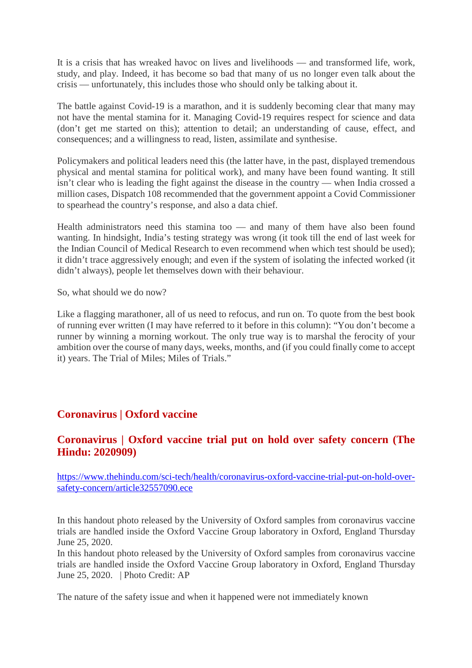It is a crisis that has wreaked havoc on lives and livelihoods — and transformed life, work, study, and play. Indeed, it has become so bad that many of us no longer even talk about the crisis — unfortunately, this includes those who should only be talking about it.

The battle against Covid-19 is a marathon, and it is suddenly becoming clear that many may not have the mental stamina for it. Managing Covid-19 requires respect for science and data (don't get me started on this); attention to detail; an understanding of cause, effect, and consequences; and a willingness to read, listen, assimilate and synthesise.

Policymakers and political leaders need this (the latter have, in the past, displayed tremendous physical and mental stamina for political work), and many have been found wanting. It still isn't clear who is leading the fight against the disease in the country — when India crossed a million cases, Dispatch 108 recommended that the government appoint a Covid Commissioner to spearhead the country's response, and also a data chief.

Health administrators need this stamina too — and many of them have also been found wanting. In hindsight, India's testing strategy was wrong (it took till the end of last week for the Indian Council of Medical Research to even recommend when which test should be used); it didn't trace aggressively enough; and even if the system of isolating the infected worked (it didn't always), people let themselves down with their behaviour.

So, what should we do now?

Like a flagging marathoner, all of us need to refocus, and run on. To quote from the best book of running ever written (I may have referred to it before in this column): "You don't become a runner by winning a morning workout. The only true way is to marshal the ferocity of your ambition over the course of many days, weeks, months, and (if you could finally come to accept it) years. The Trial of Miles; Miles of Trials."

# **Coronavirus | Oxford vaccine**

# **Coronavirus | Oxford vaccine trial put on hold over safety concern (The Hindu: 2020909)**

https://www.thehindu.com/sci-tech/health/coronavirus-oxford-vaccine-trial-put-on-hold-oversafety-concern/article32557090.ece

In this handout photo released by the University of Oxford samples from coronavirus vaccine trials are handled inside the Oxford Vaccine Group laboratory in Oxford, England Thursday June 25, 2020.

In this handout photo released by the University of Oxford samples from coronavirus vaccine trials are handled inside the Oxford Vaccine Group laboratory in Oxford, England Thursday June 25, 2020. | Photo Credit: AP

The nature of the safety issue and when it happened were not immediately known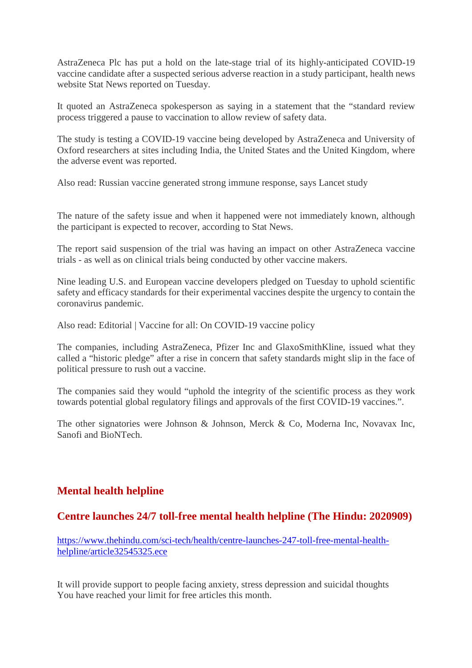AstraZeneca Plc has put a hold on the late-stage trial of its highly-anticipated COVID-19 vaccine candidate after a suspected serious adverse reaction in a study participant, health news website Stat News reported on Tuesday.

It quoted an AstraZeneca spokesperson as saying in a statement that the "standard review process triggered a pause to vaccination to allow review of safety data.

The study is testing a COVID-19 vaccine being developed by AstraZeneca and University of Oxford researchers at sites including India, the United States and the United Kingdom, where the adverse event was reported.

Also read: Russian vaccine generated strong immune response, says Lancet study

The nature of the safety issue and when it happened were not immediately known, although the participant is expected to recover, according to Stat News.

The report said suspension of the trial was having an impact on other AstraZeneca vaccine trials - as well as on clinical trials being conducted by other vaccine makers.

Nine leading U.S. and European vaccine developers pledged on Tuesday to uphold scientific safety and efficacy standards for their experimental vaccines despite the urgency to contain the coronavirus pandemic.

Also read: Editorial | Vaccine for all: On COVID-19 vaccine policy

The companies, including AstraZeneca, Pfizer Inc and GlaxoSmithKline, issued what they called a "historic pledge" after a rise in concern that safety standards might slip in the face of political pressure to rush out a vaccine.

The companies said they would "uphold the integrity of the scientific process as they work towards potential global regulatory filings and approvals of the first COVID-19 vaccines.".

The other signatories were Johnson & Johnson, Merck & Co, Moderna Inc, Novavax Inc, Sanofi and BioNTech.

# **Mental health helpline**

# **Centre launches 24/7 toll-free mental health helpline (The Hindu: 2020909)**

https://www.thehindu.com/sci-tech/health/centre-launches-247-toll-free-mental-healthhelpline/article32545325.ece

It will provide support to people facing anxiety, stress depression and suicidal thoughts You have reached your limit for free articles this month.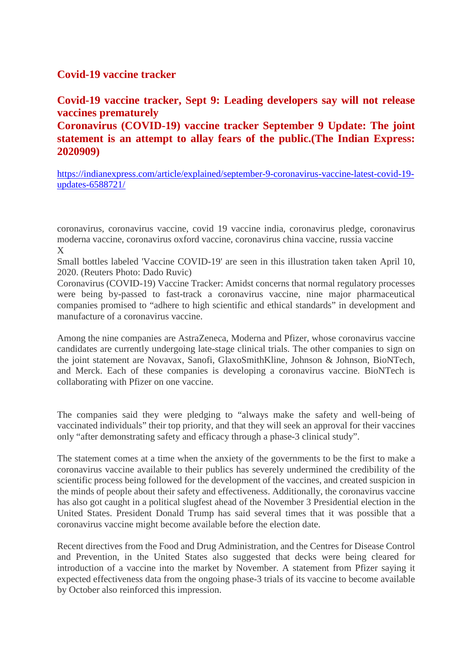# **Covid-19 vaccine tracker**

**Covid-19 vaccine tracker, Sept 9: Leading developers say will not release vaccines prematurely**

**Coronavirus (COVID-19) vaccine tracker September 9 Update: The joint statement is an attempt to allay fears of the public.(The Indian Express: 2020909)**

https://indianexpress.com/article/explained/september-9-coronavirus-vaccine-latest-covid-19 updates-6588721/

coronavirus, coronavirus vaccine, covid 19 vaccine india, coronavirus pledge, coronavirus moderna vaccine, coronavirus oxford vaccine, coronavirus china vaccine, russia vaccine X

Small bottles labeled 'Vaccine COVID-19' are seen in this illustration taken taken April 10, 2020. (Reuters Photo: Dado Ruvic)

Coronavirus (COVID-19) Vaccine Tracker: Amidst concerns that normal regulatory processes were being by-passed to fast-track a coronavirus vaccine, nine major pharmaceutical companies promised to "adhere to high scientific and ethical standards" in development and manufacture of a coronavirus vaccine.

Among the nine companies are AstraZeneca, Moderna and Pfizer, whose coronavirus vaccine candidates are currently undergoing late-stage clinical trials. The other companies to sign on the joint statement are Novavax, Sanofi, GlaxoSmithKline, Johnson & Johnson, BioNTech, and Merck. Each of these companies is developing a coronavirus vaccine. BioNTech is collaborating with Pfizer on one vaccine.

The companies said they were pledging to "always make the safety and well-being of vaccinated individuals" their top priority, and that they will seek an approval for their vaccines only "after demonstrating safety and efficacy through a phase-3 clinical study".

The statement comes at a time when the anxiety of the governments to be the first to make a coronavirus vaccine available to their publics has severely undermined the credibility of the scientific process being followed for the development of the vaccines, and created suspicion in the minds of people about their safety and effectiveness. Additionally, the coronavirus vaccine has also got caught in a political slugfest ahead of the November 3 Presidential election in the United States. President Donald Trump has said several times that it was possible that a coronavirus vaccine might become available before the election date.

Recent directives from the Food and Drug Administration, and the Centres for Disease Control and Prevention, in the United States also suggested that decks were being cleared for introduction of a vaccine into the market by November. A statement from Pfizer saying it expected effectiveness data from the ongoing phase-3 trials of its vaccine to become available by October also reinforced this impression.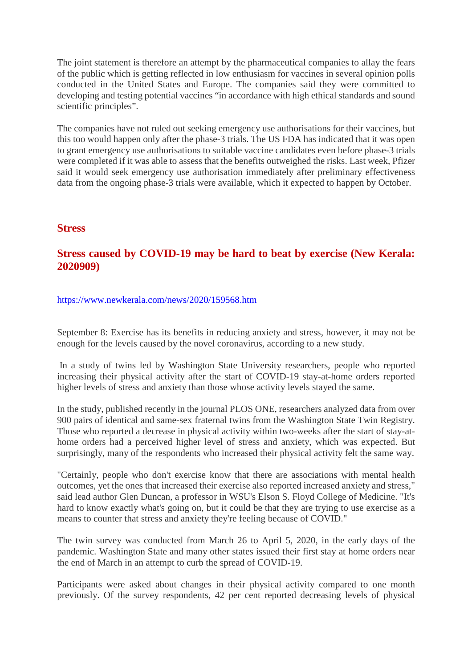The joint statement is therefore an attempt by the pharmaceutical companies to allay the fears of the public which is getting reflected in low enthusiasm for vaccines in several opinion polls conducted in the United States and Europe. The companies said they were committed to developing and testing potential vaccines "in accordance with high ethical standards and sound scientific principles".

The companies have not ruled out seeking emergency use authorisations for their vaccines, but this too would happen only after the phase-3 trials. The US FDA has indicated that it was open to grant emergency use authorisations to suitable vaccine candidates even before phase-3 trials were completed if it was able to assess that the benefits outweighed the risks. Last week, Pfizer said it would seek emergency use authorisation immediately after preliminary effectiveness data from the ongoing phase-3 trials were available, which it expected to happen by October.

#### **Stress**

# **Stress caused by COVID-19 may be hard to beat by exercise (New Kerala: 2020909)**

#### https://www.newkerala.com/news/2020/159568.htm

September 8: Exercise has its benefits in reducing anxiety and stress, however, it may not be enough for the levels caused by the novel coronavirus, according to a new study.

In a study of twins led by Washington State University researchers, people who reported increasing their physical activity after the start of COVID-19 stay-at-home orders reported higher levels of stress and anxiety than those whose activity levels stayed the same.

In the study, published recently in the journal PLOS ONE, researchers analyzed data from over 900 pairs of identical and same-sex fraternal twins from the Washington State Twin Registry. Those who reported a decrease in physical activity within two-weeks after the start of stay-athome orders had a perceived higher level of stress and anxiety, which was expected. But surprisingly, many of the respondents who increased their physical activity felt the same way.

"Certainly, people who don't exercise know that there are associations with mental health outcomes, yet the ones that increased their exercise also reported increased anxiety and stress," said lead author Glen Duncan, a professor in WSU's Elson S. Floyd College of Medicine. "It's hard to know exactly what's going on, but it could be that they are trying to use exercise as a means to counter that stress and anxiety they're feeling because of COVID."

The twin survey was conducted from March 26 to April 5, 2020, in the early days of the pandemic. Washington State and many other states issued their first stay at home orders near the end of March in an attempt to curb the spread of COVID-19.

Participants were asked about changes in their physical activity compared to one month previously. Of the survey respondents, 42 per cent reported decreasing levels of physical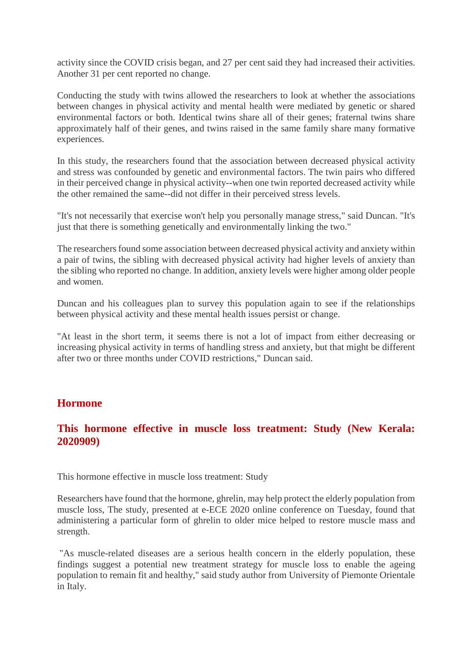activity since the COVID crisis began, and 27 per cent said they had increased their activities. Another 31 per cent reported no change.

Conducting the study with twins allowed the researchers to look at whether the associations between changes in physical activity and mental health were mediated by genetic or shared environmental factors or both. Identical twins share all of their genes; fraternal twins share approximately half of their genes, and twins raised in the same family share many formative experiences.

In this study, the researchers found that the association between decreased physical activity and stress was confounded by genetic and environmental factors. The twin pairs who differed in their perceived change in physical activity--when one twin reported decreased activity while the other remained the same--did not differ in their perceived stress levels.

"It's not necessarily that exercise won't help you personally manage stress," said Duncan. "It's just that there is something genetically and environmentally linking the two."

The researchers found some association between decreased physical activity and anxiety within a pair of twins, the sibling with decreased physical activity had higher levels of anxiety than the sibling who reported no change. In addition, anxiety levels were higher among older people and women.

Duncan and his colleagues plan to survey this population again to see if the relationships between physical activity and these mental health issues persist or change.

"At least in the short term, it seems there is not a lot of impact from either decreasing or increasing physical activity in terms of handling stress and anxiety, but that might be different after two or three months under COVID restrictions," Duncan said.

# **Hormone**

# **This hormone effective in muscle loss treatment: Study (New Kerala: 2020909)**

This hormone effective in muscle loss treatment: Study

Researchers have found that the hormone, ghrelin, may help protect the elderly population from muscle loss, The study, presented at e-ECE 2020 online conference on Tuesday, found that administering a particular form of ghrelin to older mice helped to restore muscle mass and strength.

"As muscle-related diseases are a serious health concern in the elderly population, these findings suggest a potential new treatment strategy for muscle loss to enable the ageing population to remain fit and healthy," said study author from University of Piemonte Orientale in Italy.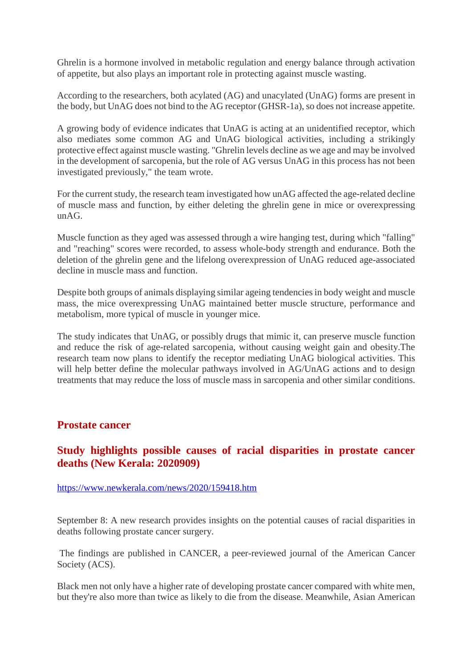Ghrelin is a hormone involved in metabolic regulation and energy balance through activation of appetite, but also plays an important role in protecting against muscle wasting.

According to the researchers, both acylated (AG) and unacylated (UnAG) forms are present in the body, but UnAG does not bind to the AG receptor (GHSR-1a), so does not increase appetite.

A growing body of evidence indicates that UnAG is acting at an unidentified receptor, which also mediates some common AG and UnAG biological activities, including a strikingly protective effect against muscle wasting. "Ghrelin levels decline as we age and may be involved in the development of sarcopenia, but the role of AG versus UnAG in this process has not been investigated previously," the team wrote.

For the current study, the research team investigated how unAG affected the age-related decline of muscle mass and function, by either deleting the ghrelin gene in mice or overexpressing unAG.

Muscle function as they aged was assessed through a wire hanging test, during which "falling" and "reaching" scores were recorded, to assess whole-body strength and endurance. Both the deletion of the ghrelin gene and the lifelong overexpression of UnAG reduced age-associated decline in muscle mass and function.

Despite both groups of animals displaying similar ageing tendencies in body weight and muscle mass, the mice overexpressing UnAG maintained better muscle structure, performance and metabolism, more typical of muscle in younger mice.

The study indicates that UnAG, or possibly drugs that mimic it, can preserve muscle function and reduce the risk of age-related sarcopenia, without causing weight gain and obesity.The research team now plans to identify the receptor mediating UnAG biological activities. This will help better define the molecular pathways involved in AG/UnAG actions and to design treatments that may reduce the loss of muscle mass in sarcopenia and other similar conditions.

# **Prostate cancer**

# **Study highlights possible causes of racial disparities in prostate cancer deaths (New Kerala: 2020909)**

https://www.newkerala.com/news/2020/159418.htm

September 8: A new research provides insights on the potential causes of racial disparities in deaths following prostate cancer surgery.

The findings are published in CANCER, a peer-reviewed journal of the American Cancer Society (ACS).

Black men not only have a higher rate of developing prostate cancer compared with white men, but they're also more than twice as likely to die from the disease. Meanwhile, Asian American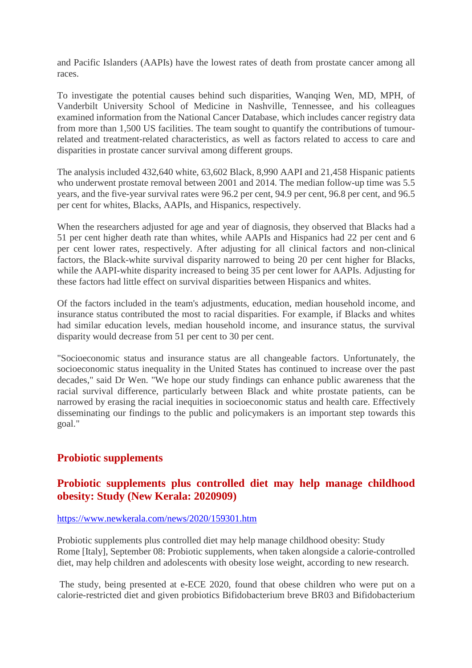and Pacific Islanders (AAPIs) have the lowest rates of death from prostate cancer among all races.

To investigate the potential causes behind such disparities, Wanqing Wen, MD, MPH, of Vanderbilt University School of Medicine in Nashville, Tennessee, and his colleagues examined information from the National Cancer Database, which includes cancer registry data from more than 1,500 US facilities. The team sought to quantify the contributions of tumourrelated and treatment-related characteristics, as well as factors related to access to care and disparities in prostate cancer survival among different groups.

The analysis included 432,640 white, 63,602 Black, 8,990 AAPI and 21,458 Hispanic patients who underwent prostate removal between 2001 and 2014. The median follow-up time was 5.5 years, and the five-year survival rates were 96.2 per cent, 94.9 per cent, 96.8 per cent, and 96.5 per cent for whites, Blacks, AAPIs, and Hispanics, respectively.

When the researchers adjusted for age and year of diagnosis, they observed that Blacks had a 51 per cent higher death rate than whites, while AAPIs and Hispanics had 22 per cent and 6 per cent lower rates, respectively. After adjusting for all clinical factors and non-clinical factors, the Black-white survival disparity narrowed to being 20 per cent higher for Blacks, while the AAPI-white disparity increased to being 35 per cent lower for AAPIs. Adjusting for these factors had little effect on survival disparities between Hispanics and whites.

Of the factors included in the team's adjustments, education, median household income, and insurance status contributed the most to racial disparities. For example, if Blacks and whites had similar education levels, median household income, and insurance status, the survival disparity would decrease from 51 per cent to 30 per cent.

"Socioeconomic status and insurance status are all changeable factors. Unfortunately, the socioeconomic status inequality in the United States has continued to increase over the past decades," said Dr Wen. "We hope our study findings can enhance public awareness that the racial survival difference, particularly between Black and white prostate patients, can be narrowed by erasing the racial inequities in socioeconomic status and health care. Effectively disseminating our findings to the public and policymakers is an important step towards this goal."

# **Probiotic supplements**

# **Probiotic supplements plus controlled diet may help manage childhood obesity: Study (New Kerala: 2020909)**

#### https://www.newkerala.com/news/2020/159301.htm

Probiotic supplements plus controlled diet may help manage childhood obesity: Study Rome [Italy], September 08: Probiotic supplements, when taken alongside a calorie-controlled diet, may help children and adolescents with obesity lose weight, according to new research.

The study, being presented at e-ECE 2020, found that obese children who were put on a calorie-restricted diet and given probiotics Bifidobacterium breve BR03 and Bifidobacterium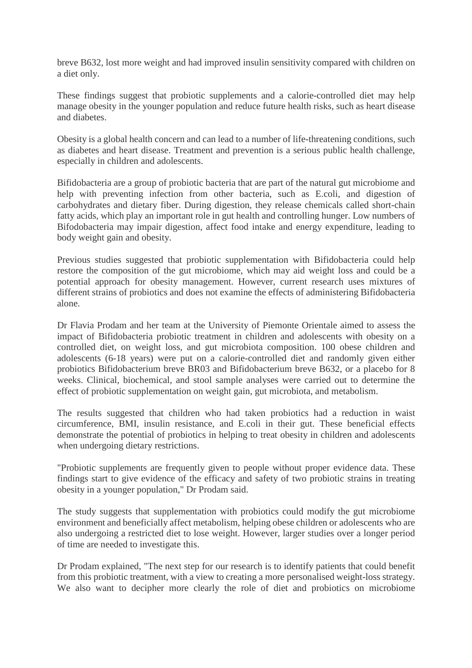breve B632, lost more weight and had improved insulin sensitivity compared with children on a diet only.

These findings suggest that probiotic supplements and a calorie-controlled diet may help manage obesity in the younger population and reduce future health risks, such as heart disease and diabetes.

Obesity is a global health concern and can lead to a number of life-threatening conditions, such as diabetes and heart disease. Treatment and prevention is a serious public health challenge, especially in children and adolescents.

Bifidobacteria are a group of probiotic bacteria that are part of the natural gut microbiome and help with preventing infection from other bacteria, such as E.coli, and digestion of carbohydrates and dietary fiber. During digestion, they release chemicals called short-chain fatty acids, which play an important role in gut health and controlling hunger. Low numbers of Bifodobacteria may impair digestion, affect food intake and energy expenditure, leading to body weight gain and obesity.

Previous studies suggested that probiotic supplementation with Bifidobacteria could help restore the composition of the gut microbiome, which may aid weight loss and could be a potential approach for obesity management. However, current research uses mixtures of different strains of probiotics and does not examine the effects of administering Bifidobacteria alone.

Dr Flavia Prodam and her team at the University of Piemonte Orientale aimed to assess the impact of Bifidobacteria probiotic treatment in children and adolescents with obesity on a controlled diet, on weight loss, and gut microbiota composition. 100 obese children and adolescents (6-18 years) were put on a calorie-controlled diet and randomly given either probiotics Bifidobacterium breve BR03 and Bifidobacterium breve B632, or a placebo for 8 weeks. Clinical, biochemical, and stool sample analyses were carried out to determine the effect of probiotic supplementation on weight gain, gut microbiota, and metabolism.

The results suggested that children who had taken probiotics had a reduction in waist circumference, BMI, insulin resistance, and E.coli in their gut. These beneficial effects demonstrate the potential of probiotics in helping to treat obesity in children and adolescents when undergoing dietary restrictions.

"Probiotic supplements are frequently given to people without proper evidence data. These findings start to give evidence of the efficacy and safety of two probiotic strains in treating obesity in a younger population," Dr Prodam said.

The study suggests that supplementation with probiotics could modify the gut microbiome environment and beneficially affect metabolism, helping obese children or adolescents who are also undergoing a restricted diet to lose weight. However, larger studies over a longer period of time are needed to investigate this.

Dr Prodam explained, "The next step for our research is to identify patients that could benefit from this probiotic treatment, with a view to creating a more personalised weight-loss strategy. We also want to decipher more clearly the role of diet and probiotics on microbiome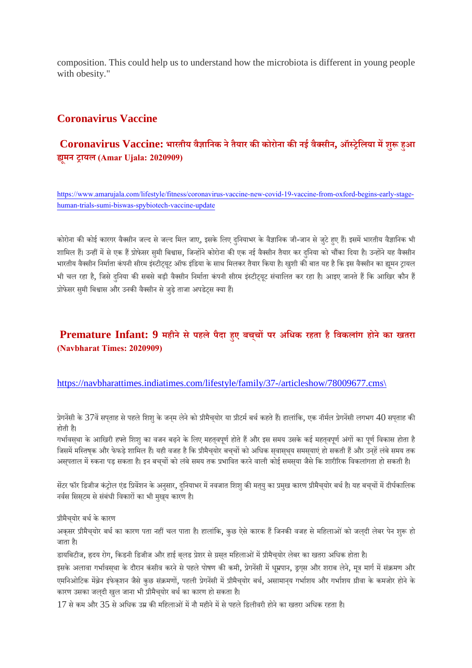composition. This could help us to understand how the microbiota is different in young people with obesity."

# **Coronavirus Vaccine**

# $C$ oronavirus  $V$ accine: भारतीय वैज्ञानिक ने तैयार की कोरोना की नई वैक्सीन, ऑस्टेलिया में शरू हुआ **ूमन ायल (Amar Ujala: 2020909)**

https://www.amarujala.com/lifestyle/fitness/coronavirus-vaccine-new-covid-19-vaccine-from-oxford-begins-early-stagehuman-trials-sumi-biswas-spybiotech-vaccine-update

कोरोना की कोई कारगर वैक्सीन जल्द से जल्द मिल जाए, इसके लिए दुनियाभर के वैज्ञानिक जी-जान से जुटे हुए हैं। इसमें भारतीय वैज्ञानिक भी शामिल हैं। उन्हीं में से एक हैं प्रोफेसर समी बिश्वास, जिन्होंने कोरोना की एक नई वैक्सीन तैयार कर दुनिया को चौंका दिया है। उन्होंने यह वैक्सीन भारतीय वैक्सीन निर्माता कंपनी सीरम इंस्टीट्यूट ऑफ इंडिया के साथ मिलकर तैयार किया है। खुशी की बात यह है कि इस वैक्सीन का ह्यूमन ट्रायल भी चल रहा है, जिसे दुनिया की सबसे बड़ी वैक्सीन निर्माता कंपनी सीरम इंस्टीट्यूट संचालित कर रहा है। आइए जानते हैं कि आखिर कौन हैं प्रोफेसर सुमी बिश्वास और उनकी वैक्सीन से जुड़े ताजा अपडेट्स क्या हैं।

# **Premature Infant: 9 महीनेसेपहलेपैदा हए बचच् पर अिधक रहता हैिवकलांग होनेका खतरा (Navbharat Times: 2020909)**

#### https://navbharattimes.indiatimes.com/lifestyle/family/37-/articleshow/78009677.cms\

प्रेगनेंसी के 37वें सप्ताह से पहले शिशु के जनम लेने को प्रीमैच्योर या प्रीटर्म बर्थ कहते हैं। हालांकि, एक नॉर्मल प्रेगनेंसी लगभग 40 सप्ताह की होती ह।ै

गर्भावस्था के आखिरी हफ्ते शिश् का वजन बढ़ने के लिए महत्वपूर्ण होते हैं और इस समय उसके कई महत्वपूर्ण अंगों का पूर्ण विकास होता है जिसमें मस्तिषक और फेफड़े शामिल हैं। यही वजह है कि प्रीमैच्योर बचचों को अधिक सवासथय समसयाएं हो सकती हैं और उनहें लंबे समय तक अस्पताल में रुकना पड़ सकता है। इन बच्चों को लंबे समय तक प्रभावित करने वाली कोई समस्या जैसे कि शारीरिक विकलांगता हो सकती है।

सेंटर फॉर डिजीज कंट्रोल एंड प्रिवेंशन के अनुसार, दुनियाभर में नवजात शिशु की मतुयु का प्रमुख कारण प्रीमैच्योर बर्थ है। यह बचचों में दीर्घकालिक नर्वस सिसटम से संबंधी विकारों का भी मुखुय कारण है।

प्रीमैचयोर बर्थ के कारण

अक्सर प्रीमैच्योर बर्थ का कारण पता नहीं चल पाता है। हालांकि, कुछ ऐसे कारक हैं जिनकी वजह से महिलाओं को जलदी लेबर पेन शुरू हो जाता ह।ै

डायबिटीज, ह्रदय रोग, किडनी डिजीज और हाई बृलड प्रेशर से ग्रसुत महिलाओं में प्रीमैच्योर लेबर का खतरा अधिक होता है।

इसके अलावा गर्भावसथा के दौरान कंसीव करने से पहले पोषण की कमी, प्रेगनेंसी में धुम्रपान, ड़गस और शराब लेने, मुत्र मार्ग में संक्रमण और एमनिओटिक मेंब्रेन इंफेकशन जैसे कुछ संक्रमणों, पहली प्रेगनेंसी में प्रीमैच्योर बर्थ, असामानय गर्भाशय और गर्भाशय ग्रीवा के कमजोर होने के कारण उसका जलदी खुल जाना भी प्रीमैचयोर बर्थ का कारण हो सकता है।

17 से कम और 35 से अधिक उम्र की महिलाओं में नौ महीने में से पहले दिलीवरी होने का खतरा अधिक रहता है।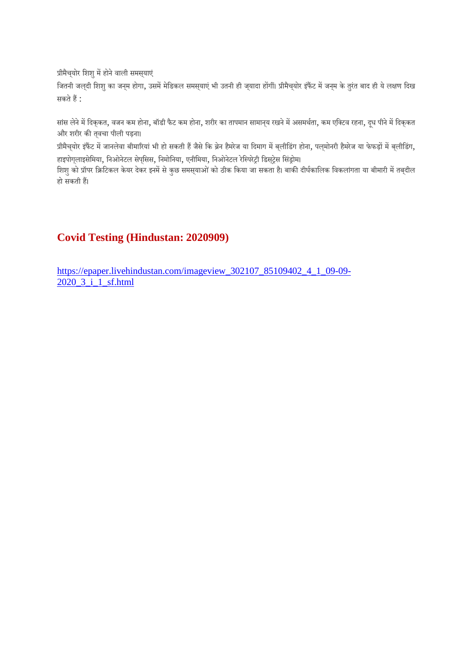प्रीमैच्योर शिशु में होने वाली समस्याएं

जितनी जलदी शिशु का जनम होगा, उसमें मेडिकल समस्याएं भी उतनी ही जयादा होंगीं। प्रीमैचयोर इंफैंट में जनम के तुरंत बाद ही ये लक्षण दिख सकतेह:

सांस लेने में दिक्कत, वजन कम होना, बॉडी फैट कम होना, शरीर का तापमान सामान्य रखने में असमर्थता, कम एक्टिव रहना, दूध पीने में दिक्कत और शरीर की तुवचा पीली पड़ना।

प्रीमैच्योर इंफैंट में जानलेवा बीमारियां भी हो सकती हैं जैसे कि ब्रेन हैमरेज या दिमाग में बलीडिंग होना, पल्मोनरी हैमरेज या फेफड़ों में बलीडिंग, हाइपोग्लाइसेमिया, निओनेटल सेपसिस, निमोनिया, एनीमिया, निओनेटल रेस्पिरेट्री डिस्ट्रेस सिंड्रोम।

शिशु को प्रॉपर क्रिटिकल केयर देकर इनमें से कुछ समसयाओं को ठीक किया जा सकता है। बाकी दीर्घकालिक विकलांगता या बीमारी में तबदील हो सकती ह।

# **Covid Testing (Hindustan: 2020909)**

https://epaper.livehindustan.com/imageview\_302107\_85109402\_4\_1\_09-09- 2020\_3\_i\_1\_sf.html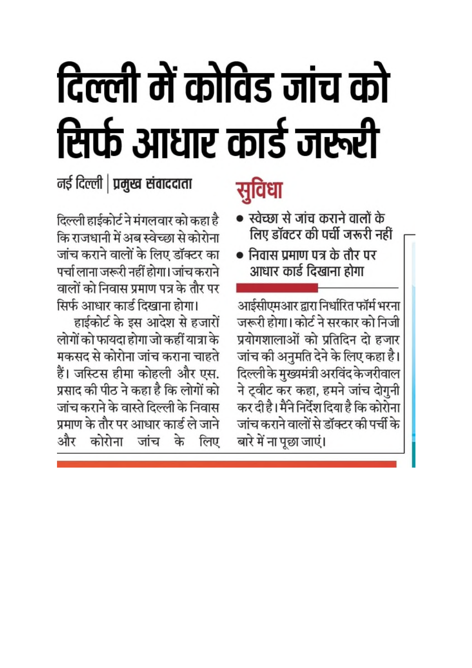# दिल्ली में कोविड जांच को सिर्फ आधार कार्ड जरूरी

नई दिल्ली | प्रमुख संवाददाता

दिल्ली हाईकोर्ट ने मंगलवार को कहा है कि राजधानी में अब स्वेच्छा से कोरोना जांच कराने वालों के लिए डॉक्टर का पर्चा लाना जरूरी नहीं होगा। जांच कराने वालों को निवास प्रमाण पत्र के तौर पर सिर्फ आधार कार्ड दिखाना होगा।

हाईकोर्ट के इस आदेश से हजारों लोगों को फायदा होगा जो कहीं यात्रा के मकसद से कोरोना जांच कराना चाहते हैं। जस्टिस हीमा कोहली और एस. प्रसाद की पीठ ने कहा है कि लोगों को जांच कराने के वास्ते दिल्ली के निवास प्रमाण के तौर पर आधार कार्ड ले जाने और कोरोना जांच के लिए

# सुविधा

- स्वेच्छा से जांच कराने वालों के लिए डॉक्टर की पर्ची जरूरी नहीं
- निवास प्रमाण पत्र के तौर पर आधार कार्ड दिखाना होगा

आईसीएमआर द्वारा निर्धारित फॉर्म भरना जरूरी होगा। कोर्ट ने सरकार को निजी प्रयोगशालाओं को प्रतिदिन दो हजार जांच की अनुमति देने के लिए कहा है। दिल्ली के मुख्यमंत्री अरविंद केजरीवाल ने ट्वीट कर कहा, हमने जांच दोगुनी कर दी है। मैंने निर्देश दिया है कि कोरोना जांच कराने वालों से डॉक्टर की पर्ची के बारे में ना पूछा जाएं।